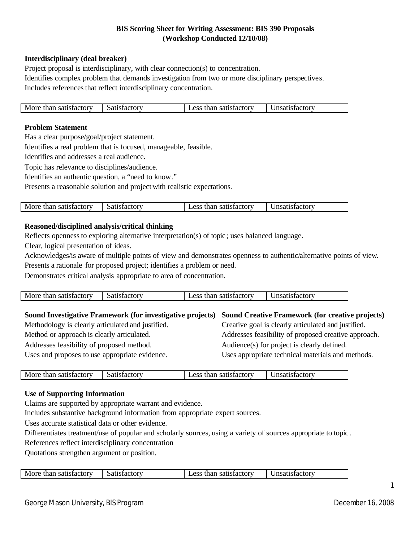# **BIS Scoring Sheet for Writing Assessment: BIS 390 Proposals (Workshop Conducted 12/10/08)**

## **Interdisciplinary (deal breaker)**

Project proposal is interdisciplinary, with clear connection(s) to concentration. Identifies complex problem that demands investigation from two or more disciplinary perspectives. Includes references that reflect interdisciplinary concentration.

| More than satisfactory | Satisfactory | Less than satisfactory | Unsatisfactory |
|------------------------|--------------|------------------------|----------------|

### **Problem Statement**

Has a clear purpose/goal/project statement.

Identifies a real problem that is focused, manageable, feasible.

Identifies and addresses a real audience.

Topic has relevance to disciplines/audience.

Identifies an authentic question, a "need to know."

Presents a reasonable solution and project with realistic expectations.

| $M_{\odot}$<br>:ror<br>зтас<br>sи<br>на<br>.<br>. | ١и | . 1216<br>10 H V<br>9711<br>.<br>. | - -<br>211<br>. |
|---------------------------------------------------|----|------------------------------------|-----------------|
|                                                   |    |                                    |                 |

### **Reasoned/disciplined analysis/critical thinking**

Reflects opennessto exploring alternative interpretation(s) of topic; uses balanced language.

Clear, logical presentation of ideas.

Acknowledges/is aware of multiple points of view and demonstrates openness to authentic/alternative points of view. Presents a rationale for proposed project; identifies a problem or need.

Demonstrates critical analysis appropriate to area of concentration.

| More than<br>satisfactory > | Satisfactory | $\mathcal{L}$ ess<br>, than satisfactory | Jnsatisfactory |
|-----------------------------|--------------|------------------------------------------|----------------|

| Sound Investigative Framework (for investigative projects) Sound Creative Framework (for creative projects) |                                                      |
|-------------------------------------------------------------------------------------------------------------|------------------------------------------------------|
| Methodology is clearly articulated and justified.                                                           | Creative goal is clearly articulated and justified.  |
| Method or approach is clearly articulated.                                                                  | Addresses feasibility of proposed creative approach. |
| Addresses feasibility of proposed method.                                                                   | Audience(s) for project is clearly defined.          |
| Uses and proposes to use appropriate evidence.                                                              | Uses appropriate technical materials and methods.    |

| More than satisfactory | Satistac<br>`ctorv | satisfactory<br>$\Delta$ ce<br>than<br>$\mathbf{A}$ | Jnsatistactory |
|------------------------|--------------------|-----------------------------------------------------|----------------|
|                        |                    |                                                     |                |

#### **Use of Supporting Information**

Claims are supported by appropriate warrant and evidence.

Includes substantive background information from appropriate expert sources.

Uses accurate statistical data or other evidence.

Differentiates treatment/use of popular and scholarly sources, using a variety of sources appropriate to topic.

References reflect interdisciplinary concentration

Quotations strengthen argument or position.

| Mot<br>ı satıstactory<br>:torv<br>$\alpha$<br>тпяп<br>ли.<br>87Н<br>кти с |
|---------------------------------------------------------------------------|
|---------------------------------------------------------------------------|